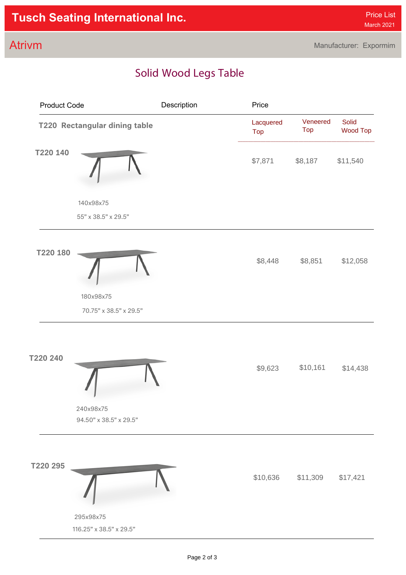## **Atrivm Indoor** Manufacturer: Expormim

## Solid Wood Legs Table